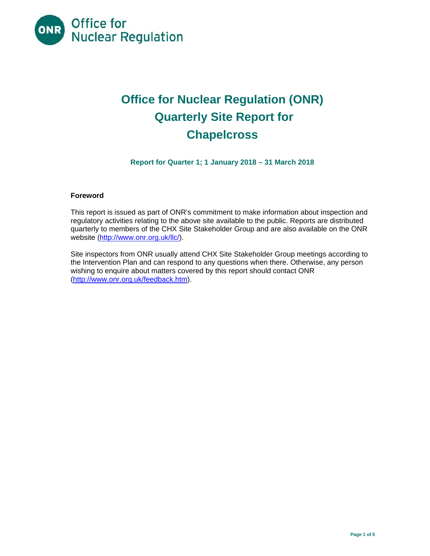

# **Office for Nuclear Regulation (ONR) Quarterly Site Report for Chapelcross**

**Report for Quarter 1; 1 January 2018 – 31 March 2018** 

# **Foreword**

This report is issued as part of ONR's commitment to make information about inspection and regulatory activities relating to the above site available to the public. Reports are distributed quarterly to members of the CHX Site Stakeholder Group and are also available on the ONR website (http://www.onr.org.uk/llc/).

Site inspectors from ONR usually attend CHX Site Stakeholder Group meetings according to the Intervention Plan and can respond to any questions when there. Otherwise, any person wishing to enquire about matters covered by this report should contact ONR (http://www.onr.org.uk/feedback.htm).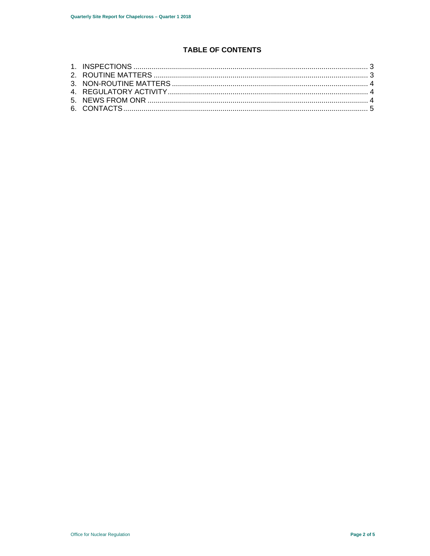# **TABLE OF CONTENTS**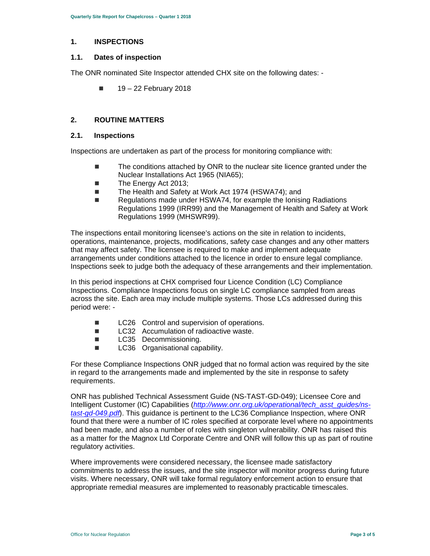# **1. INSPECTIONS**

#### **1.1. Dates of inspection**

The ONR nominated Site Inspector attended CHX site on the following dates: -

 $19 - 22$  February 2018

# **2. ROUTINE MATTERS**

#### **2.1. Inspections**

Inspections are undertaken as part of the process for monitoring compliance with:

- The conditions attached by ONR to the nuclear site licence granted under the Nuclear Installations Act 1965 (NIA65);
- The Energy Act 2013:
- The Health and Safety at Work Act 1974 (HSWA74); and
- Regulations made under HSWA74, for example the Ionising Radiations Regulations 1999 (IRR99) and the Management of Health and Safety at Work Regulations 1999 (MHSWR99).

The inspections entail monitoring licensee's actions on the site in relation to incidents, operations, maintenance, projects, modifications, safety case changes and any other matters that may affect safety. The licensee is required to make and implement adequate arrangements under conditions attached to the licence in order to ensure legal compliance. Inspections seek to judge both the adequacy of these arrangements and their implementation.

In this period inspections at CHX comprised four Licence Condition (LC) Compliance Inspections. Compliance Inspections focus on single LC compliance sampled from areas across the site. Each area may include multiple systems. Those LCs addressed during this period were: -

- LC26 Control and supervision of operations.
- LC32 Accumulation of radioactive waste.
- **LC35** Decommissioning.
- **LC36** Organisational capability.

For these Compliance Inspections ONR judged that no formal action was required by the site in regard to the arrangements made and implemented by the site in response to safety requirements.

ONR has published Technical Assessment Guide (NS-TAST-GD-049); Licensee Core and Intelligent Customer (IC) Capabilities (*http://www.onr.org.uk/operational/tech\_asst\_guides/nstast-gd-049.pdf*). This guidance is pertinent to the LC36 Compliance Inspection, where ONR found that there were a number of IC roles specified at corporate level where no appointments had been made, and also a number of roles with singleton vulnerability. ONR has raised this as a matter for the Magnox Ltd Corporate Centre and ONR will follow this up as part of routine regulatory activities.

Where improvements were considered necessary, the licensee made satisfactory commitments to address the issues, and the site inspector will monitor progress during future visits. Where necessary, ONR will take formal regulatory enforcement action to ensure that appropriate remedial measures are implemented to reasonably practicable timescales.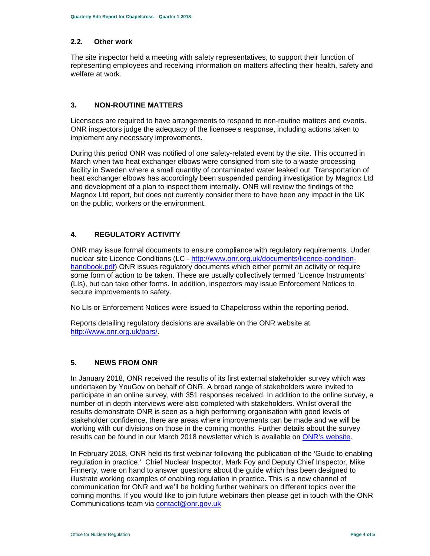# **2.2. Other work**

The site inspector held a meeting with safety representatives, to support their function of representing employees and receiving information on matters affecting their health, safety and welfare at work.

# **3. NON-ROUTINE MATTERS**

Licensees are required to have arrangements to respond to non-routine matters and events. ONR inspectors judge the adequacy of the licensee's response, including actions taken to implement any necessary improvements.

During this period ONR was notified of one safety-related event by the site. This occurred in March when two heat exchanger elbows were consigned from site to a waste processing facility in Sweden where a small quantity of contaminated water leaked out. Transportation of heat exchanger elbows has accordingly been suspended pending investigation by Magnox Ltd and development of a plan to inspect them internally. ONR will review the findings of the Magnox Ltd report, but does not currently consider there to have been any impact in the UK on the public, workers or the environment.

# **4. REGULATORY ACTIVITY**

ONR may issue formal documents to ensure compliance with regulatory requirements. Under nuclear site Licence Conditions (LC - http://www.onr.org.uk/documents/licence-conditionhandbook.pdf) ONR issues regulatory documents which either permit an activity or require some form of action to be taken. These are usually collectively termed 'Licence Instruments' (LIs), but can take other forms. In addition, inspectors may issue Enforcement Notices to secure improvements to safety.

No LIs or Enforcement Notices were issued to Chapelcross within the reporting period.

Reports detailing regulatory decisions are available on the ONR website at http://www.onr.org.uk/pars/.

# **5. NEWS FROM ONR**

In January 2018, ONR received the results of its first external stakeholder survey which was undertaken by YouGov on behalf of ONR. A broad range of stakeholders were invited to participate in an online survey, with 351 responses received. In addition to the online survey, a number of in depth interviews were also completed with stakeholders. Whilst overall the results demonstrate ONR is seen as a high performing organisation with good levels of stakeholder confidence, there are areas where improvements can be made and we will be working with our divisions on those in the coming months. Further details about the survey results can be found in our March 2018 newsletter which is available on ONR's website.

In February 2018, ONR held its first webinar following the publication of the 'Guide to enabling regulation in practice.' Chief Nuclear Inspector, Mark Foy and Deputy Chief Inspector, Mike Finnerty, were on hand to answer questions about the guide which has been designed to illustrate working examples of enabling regulation in practice. This is a new channel of communication for ONR and we'll be holding further webinars on different topics over the coming months. If you would like to join future webinars then please get in touch with the ONR Communications team via contact@onr.gov.uk